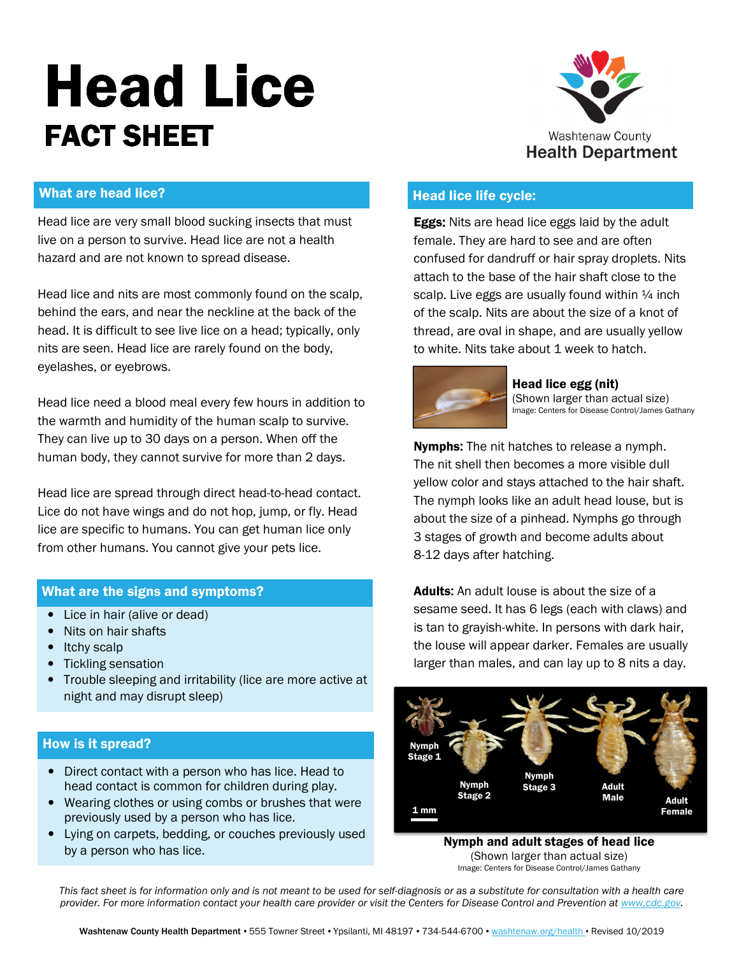# P **Head Lice** FACT SHEET



# What are head lice?

Head lice are very small blood sucking insects that must live on a person to survive. Head lice are not a health hazard and are not known to spread disease.

 behind the ears, and near the neckline at the back of the Head lice and nits are most commonly found on the scalp, head. It is difficult to see live lice on a head; typically, only nits are seen. Head lice are rarely found on the body, eyelashes, or eyebrows.

Head lice need a blood meal every few hours in addition to the warmth and humidity of the human scalp to survive. They can live up to 30 days on a person. When off the human body, they cannot survive for more than 2 days.

Head lice are spread through direct head-to-head contact. Lice do not have wings and do not hop, jump, or fly. Head lice are specific to humans. You can get human lice only from other humans. You cannot give your pets lice.

# What are the signs and symptoms?

- Lice in hair (alive or dead)
- Nits on hair shafts
- Itchy scalp
- Tickling sensation
- Trouble sleeping and irritability (lice are more active at night and may disrupt sleep)

## How is it spread?

- Direct contact with a person who has lice. Head to head contact is common for children during play.
- Wearing clothes or using combs or brushes that were previously used by a person who has lice.
- Lying on carpets, bedding, or couches previously used by a person who has lice.

# Head lice life cycle:

**Eggs:** Nits are head lice eggs laid by the adult female. They are hard to see and are often confused for dandruff or hair spray droplets. Nits attach to the base of the hair shaft close to the scalp. Live eggs are usually found within  $\frac{1}{4}$  inch of the scalp. Nits are about the size of a knot of thread, are oval in shape, and are usually yellow to white. Nits take about 1 week to hatch.



#### Head lice egg (nit) (Shown larger than actual size) Image: Centers for Disease Control/James Gathany

Nymphs: The nit hatches to release a nymph. The nit shell then becomes a more visible dull yellow color and stays attached to the hair shaft. The nymph looks like an adult head louse, but is about the size of a pinhead. Nymphs go through 3 stages of growth and become adults about 8-12 days after hatching.

Adults: An adult louse is about the size of a sesame seed. It has 6 legs (each with claws) and is tan to grayish-white. In persons with dark hair, the louse will appear darker. Females are usually larger than males, and can lay up to 8 nits a day.



Nymph and adult stages of head lice (Shown larger than actual size) Image: Centers for Disease Control/James Gathany

This fact sheet is for information only and is not meant to be used for self-diagnosis or as a substitute for consultation with a health care provider. For more information contact your health care provider or visit the Centers for Disease Control and Prevention at www.cdc.gov.